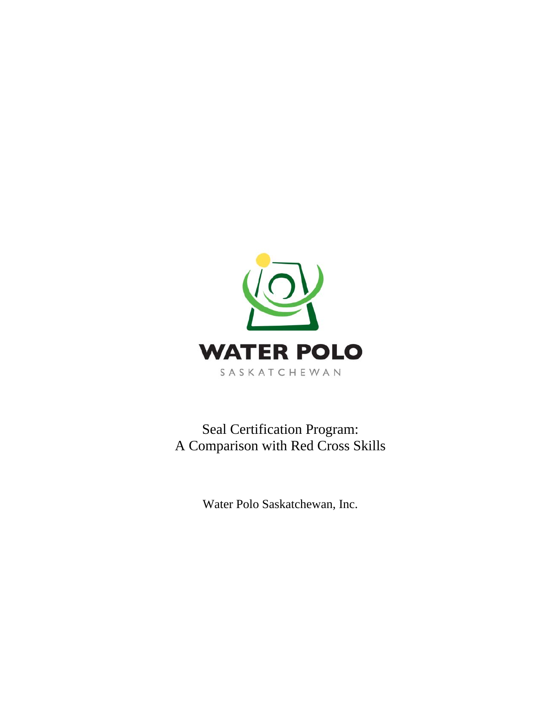

Seal Certification Program: A Comparison with Red Cross Skills

Water Polo Saskatchewan, Inc.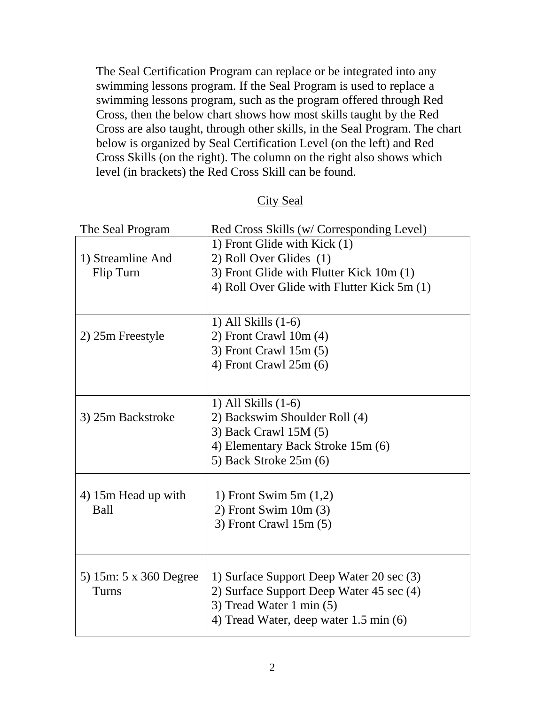The Seal Certification Program can replace or be integrated into any swimming lessons program. If the Seal Program is used to replace a swimming lessons program, such as the program offered through Red Cross, then the below chart shows how most skills taught by the Red Cross are also taught, through other skills, in the Seal Program. The chart below is organized by Seal Certification Level (on the left) and Red Cross Skills (on the right). The column on the right also shows which level (in brackets) the Red Cross Skill can be found.

| The Seal Program       | Red Cross Skills (w/ Corresponding Level)   |
|------------------------|---------------------------------------------|
|                        | 1) Front Glide with Kick (1)                |
| 1) Streamline And      | 2) Roll Over Glides (1)                     |
| Flip Turn              | 3) Front Glide with Flutter Kick 10m (1)    |
|                        | 4) Roll Over Glide with Flutter Kick 5m (1) |
|                        |                                             |
|                        | 1) All Skills $(1-6)$                       |
| 2) 25m Freestyle       | $2)$ Front Crawl 10m $(4)$                  |
|                        | 3) Front Crawl $15m(5)$                     |
|                        | 4) Front Crawl $25m(6)$                     |
|                        |                                             |
|                        | 1) All Skills (1-6)                         |
| 3) 25m Backstroke      | 2) Backswim Shoulder Roll (4)               |
|                        | 3) Back Crawl 15M (5)                       |
|                        | 4) Elementary Back Stroke 15m (6)           |
|                        | 5) Back Stroke 25m (6)                      |
|                        |                                             |
| 4) 15m Head up with    | 1) Front Swim $5m(1,2)$                     |
| <b>Ball</b>            | $2)$ Front Swim 10m $(3)$                   |
|                        | $3)$ Front Crawl 15m $(5)$                  |
|                        |                                             |
|                        |                                             |
| 5) 15m: 5 x 360 Degree | 1) Surface Support Deep Water 20 sec (3)    |
| Turns                  | 2) Surface Support Deep Water 45 sec (4)    |
|                        | 3) Tread Water 1 min $(5)$                  |
|                        | 4) Tread Water, deep water 1.5 min (6)      |

## City Seal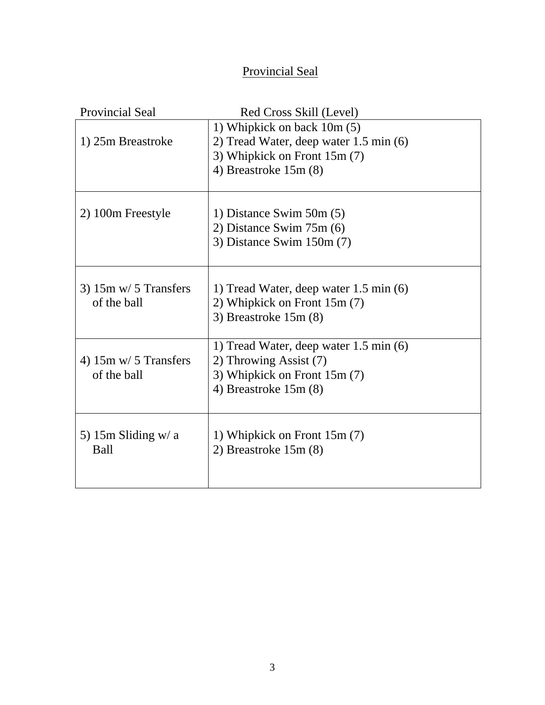## Provincial Seal

| <b>Provincial Seal</b>          | Red Cross Skill (Level)                |
|---------------------------------|----------------------------------------|
|                                 | 1) Whipkick on back 10m (5)            |
| 1) 25m Breastroke               | 2) Tread Water, deep water 1.5 min (6) |
|                                 | 3) Whipkick on Front 15m (7)           |
|                                 | 4) Breastroke 15m (8)                  |
|                                 |                                        |
|                                 |                                        |
| 2) 100m Freestyle               | 1) Distance Swim $50m(5)$              |
|                                 | 2) Distance Swim $75m(6)$              |
|                                 | 3) Distance Swim $150m(7)$             |
|                                 |                                        |
|                                 |                                        |
| $3)$ 15m w/ 5 Transfers         | 1) Tread Water, deep water 1.5 min (6) |
| of the ball                     | 2) Whipkick on Front 15m (7)           |
|                                 | 3) Breastroke $15m(8)$                 |
|                                 |                                        |
|                                 | 1) Tread Water, deep water 1.5 min (6) |
| 4) $15m \text{ w}/ 5$ Transfers | 2) Throwing Assist (7)                 |
| of the ball                     | 3) Whipkick on Front 15m (7)           |
|                                 | 4) Breastroke $15m(8)$                 |
|                                 |                                        |
|                                 |                                        |
| 5) 15m Sliding $w/a$            | 1) Whipkick on Front 15m (7)           |
| <b>Ball</b>                     | 2) Breastroke $15m(8)$                 |
|                                 |                                        |
|                                 |                                        |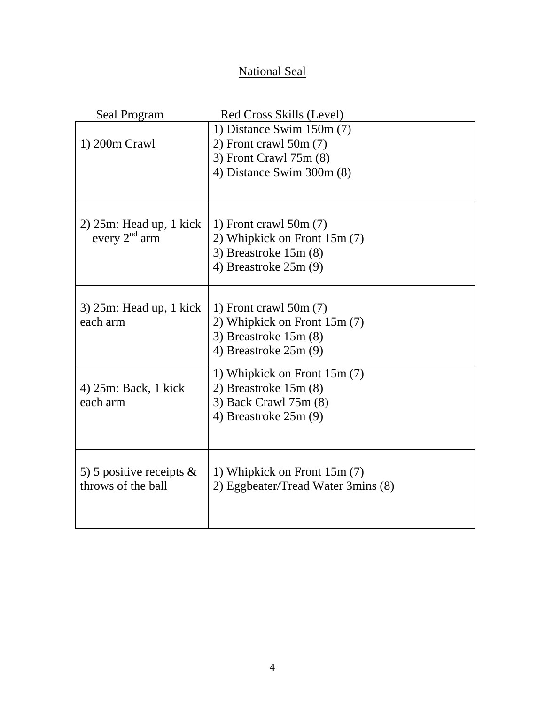## National Seal

| Seal Program                                      | Red Cross Skills (Level)                                |
|---------------------------------------------------|---------------------------------------------------------|
|                                                   | 1) Distance Swim $150m(7)$                              |
| 1) 200m Crawl                                     | 2) Front crawl $50m(7)$                                 |
|                                                   | 3) Front Crawl 75m (8)                                  |
|                                                   | 4) Distance Swim 300m (8)                               |
|                                                   |                                                         |
|                                                   |                                                         |
| $2)$ 25m: Head up, 1 kick<br>every $2nd$ arm      | 1) Front crawl $50m(7)$<br>2) Whipkick on Front 15m (7) |
|                                                   | 3) Breastroke 15m (8)                                   |
|                                                   | 4) Breastroke $25m(9)$                                  |
|                                                   |                                                         |
|                                                   |                                                         |
| $3)$ 25m: Head up, 1 kick<br>each arm             | 1) Front crawl $50m(7)$<br>2) Whipkick on Front 15m (7) |
|                                                   | 3) Breastroke $15m(8)$                                  |
|                                                   | 4) Breastroke $25m(9)$                                  |
|                                                   |                                                         |
|                                                   | 1) Whipkick on Front 15m (7)                            |
| 4) 25m: Back, 1 kick<br>each arm                  | 2) Breastroke $15m(8)$                                  |
|                                                   | 3) Back Crawl 75m (8)<br>4) Breastroke $25m(9)$         |
|                                                   |                                                         |
|                                                   |                                                         |
|                                                   |                                                         |
| 5) 5 positive receipts $\&$<br>throws of the ball | 1) Whipkick on Front 15m (7)                            |
|                                                   | 2) Eggbeater/Tread Water 3mins (8)                      |
|                                                   |                                                         |
|                                                   |                                                         |